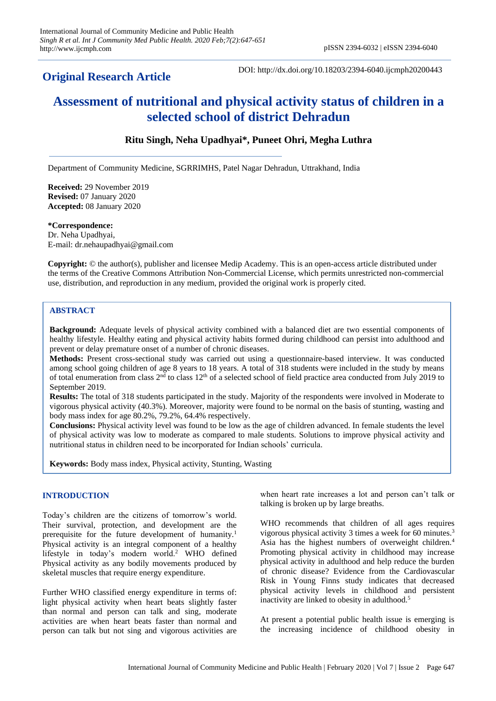# **Original Research Article**

DOI: http://dx.doi.org/10.18203/2394-6040.ijcmph20200443

# **Assessment of nutritional and physical activity status of children in a selected school of district Dehradun**

# **Ritu Singh, Neha Upadhyai\*, Puneet Ohri, Megha Luthra**

Department of Community Medicine, SGRRIMHS, Patel Nagar Dehradun, Uttrakhand, India

**Received:** 29 November 2019 **Revised:** 07 January 2020 **Accepted:** 08 January 2020

**\*Correspondence:** Dr. Neha Upadhyai, E-mail: dr.nehaupadhyai@gmail.com

**Copyright:** © the author(s), publisher and licensee Medip Academy. This is an open-access article distributed under the terms of the Creative Commons Attribution Non-Commercial License, which permits unrestricted non-commercial use, distribution, and reproduction in any medium, provided the original work is properly cited.

# **ABSTRACT**

**Background:** Adequate levels of physical activity combined with a balanced diet are two essential components of healthy lifestyle. Healthy eating and physical activity habits formed during childhood can persist into adulthood and prevent or delay premature onset of a number of chronic diseases.

**Methods:** Present cross-sectional study was carried out using a questionnaire-based interview. It was conducted among school going children of age 8 years to 18 years. A total of 318 students were included in the study by means of total enumeration from class  $2<sup>nd</sup>$  to class  $12<sup>th</sup>$  of a selected school of field practice area conducted from July 2019 to September 2019.

**Results:** The total of 318 students participated in the study. Majority of the respondents were involved in Moderate to vigorous physical activity (40.3%). Moreover, majority were found to be normal on the basis of stunting, wasting and body mass index for age 80.2%, 79.2%, 64.4% respectively.

**Conclusions:** Physical activity level was found to be low as the age of children advanced. In female students the level of physical activity was low to moderate as compared to male students. Solutions to improve physical activity and nutritional status in children need to be incorporated for Indian schools' curricula.

**Keywords:** Body mass index, Physical activity, Stunting, Wasting

# **INTRODUCTION**

Today's children are the citizens of tomorrow's world. Their survival, protection, and development are the prerequisite for the future development of humanity.<sup>1</sup> Physical activity is an integral component of a healthy lifestyle in today's modern world.<sup>2</sup> WHO defined Physical activity as any bodily movements produced by skeletal muscles that require energy expenditure.

Further WHO classified energy expenditure in terms of: light physical activity when heart beats slightly faster than normal and person can talk and sing, moderate activities are when heart beats faster than normal and person can talk but not sing and vigorous activities are

when heart rate increases a lot and person can't talk or talking is broken up by large breaths.

WHO recommends that children of all ages requires vigorous physical activity 3 times a week for 60 minutes. 3 Asia has the highest numbers of overweight children.<sup>4</sup> Promoting physical activity in childhood may increase physical activity in adulthood and help reduce the burden of chronic disease? Evidence from the Cardiovascular Risk in Young Finns study indicates that decreased physical activity levels in childhood and persistent inactivity are linked to obesity in adulthood.<sup>5</sup>

At present a potential public health issue is emerging is the increasing incidence of childhood obesity in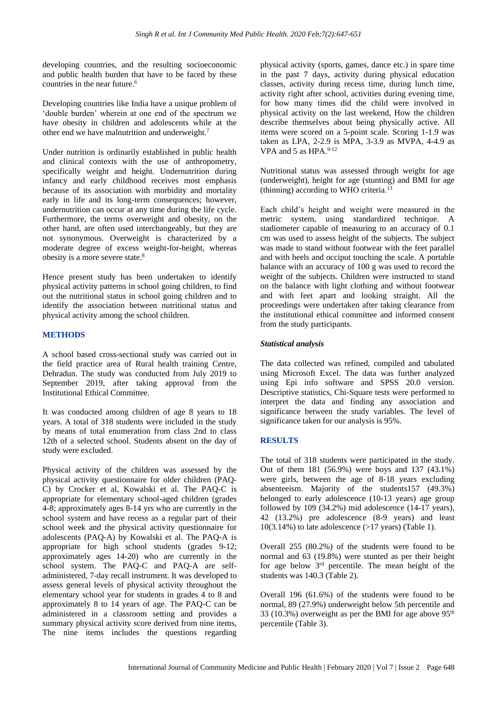developing countries, and the resulting socioeconomic and public health burden that have to be faced by these countries in the near future.<sup>6</sup>

Developing countries like India have a unique problem of 'double burden' wherein at one end of the spectrum we have obesity in children and adolescents while at the other end we have malnutrition and underweight.<sup>7</sup>

Under nutrition is ordinarily established in public health and clinical contexts with the use of anthropometry, specifically weight and height. Undernutrition during infancy and early childhood receives most emphasis because of its association with morbidity and mortality early in life and its long-term consequences; however, undernutrition can occur at any time during the life cycle. Furthermore, the terms overweight and obesity, on the other hand, are often used interchangeably, but they are not synonymous. Overweight is characterized by a moderate degree of excess weight-for-height, whereas obesity is a more severe state.<sup>8</sup>

Hence present study has been undertaken to identify physical activity patterns in school going children, to find out the nutritional status in school going children and to identify the association between nutritional status and physical activity among the school children.

#### **METHODS**

A school based cross-sectional study was carried out in the field practice area of Rural health training Centre, Dehradun. The study was conducted from July 2019 to September 2019, after taking approval from the Institutional Ethical Committee.

It was conducted among children of age 8 years to 18 years. A total of 318 students were included in the study by means of total enumeration from class 2nd to class 12th of a selected school. Students absent on the day of study were excluded.

Physical activity of the children was assessed by the physical activity questionnaire for older children (PAQ-C) by Crocker et al, Kowalski et al. The PAQ-C is appropriate for elementary school-aged children (grades 4-8; approximately ages 8-14 yrs who are currently in the school system and have recess as a regular part of their school week and the physical activity questionnaire for adolescents (PAQ-A) by Kowalski et al. The PAQ-A is appropriate for high school students (grades 9-12; approximately ages 14-20) who are currently in the school system. The PAQ-C and PAQ-A are selfadministered, 7-day recall instrument. It was developed to assess general levels of physical activity throughout the elementary school year for students in grades 4 to 8 and approximately 8 to 14 years of age. The PAQ-C can be administered in a classroom setting and provides a summary physical activity score derived from nine items, The nine items includes the questions regarding

physical activity (sports, games, dance etc.) in spare time in the past 7 days, activity during physical education classes, activity during recess time, during lunch time, activity right after school, activities during evening time, for how many times did the child were involved in physical activity on the last weekend, How the children describe themselves about being physically active. All items were scored on a 5-point scale. Scoring 1-1.9 was taken as LPA, 2-2.9 is MPA, 3-3.9 as MVPA, 4-4.9 as VPA and 5 as HPA.<sup>9-12</sup>

Nutritional status was assessed through weight for age (underweight), height for age (stunting) and BMI for age (thinning) according to WHO criteria.<sup>13</sup>

Each child's height and weight were measured in the metric system, using standardized technique. A stadiometer capable of measuring to an accuracy of 0.1 cm was used to assess height of the subjects. The subject was made to stand without footwear with the feet parallel and with heels and occiput touching the scale. A portable balance with an accuracy of 100 g was used to record the weight of the subjects. Children were instructed to stand on the balance with light clothing and without footwear and with feet apart and looking straight. All the proceedings were undertaken after taking clearance from the institutional ethical committee and informed consent from the study participants.

## *Statistical analysis*

The data collected was refined, compiled and tabulated using Microsoft Excel. The data was further analyzed using Epi info software and SPSS 20.0 version. Descriptive statistics, Chi-Square tests were performed to interpret the data and finding any association and significance between the study variables. The level of significance taken for our analysis is 95%.

## **RESULTS**

The total of 318 students were participated in the study. Out of them 181 (56.9%) were boys and 137 (43.1%) were girls, between the age of 8-18 years excluding absenteeism. Majority of the students157 (49.3%) belonged to early adolescence (10-13 years) age group followed by  $109$  (34.2%) mid adolescence (14-17 years), 42 (13.2%) pre adolescence (8-9 years) and least  $10(3.14\%)$  to late adolescence ( $>17$  years) (Table 1).

Overall 255 (80.2%) of the students were found to be normal and 63 (19.8%) were stunted as per their height for age below 3rd percentile. The mean height of the students was 140.3 (Table 2).

Overall 196 (61.6%) of the students were found to be normal, 89 (27.9%) underweight below 5th percentile and 33 (10.3%) overweight as per the BMI for age above  $95<sup>th</sup>$ percentile (Table 3).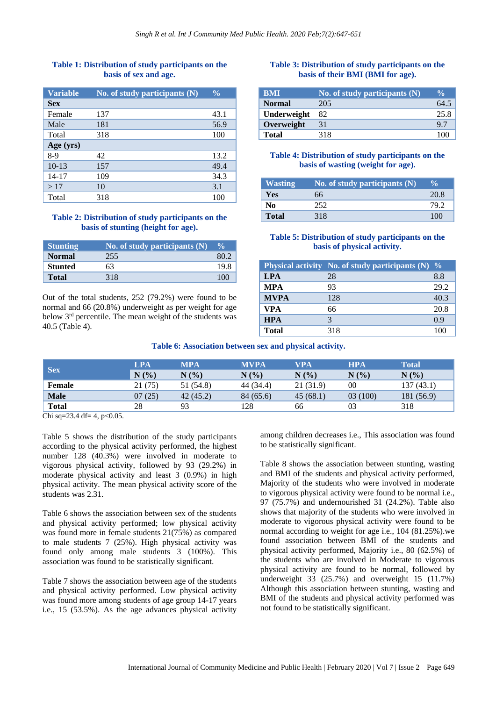#### **Table 1: Distribution of study participants on the basis of sex and age.**

| <b>Variable</b> | No. of study participants $(N)$ | $\frac{0}{0}$ |
|-----------------|---------------------------------|---------------|
| <b>Sex</b>      |                                 |               |
| Female          | 137                             | 43.1          |
| Male            | 181                             | 56.9          |
| Total           | 318                             | 100           |
| Age (yrs)       |                                 |               |
| $8-9$           | 42                              | 13.2          |
| $10-13$         | 157                             | 49.4          |
| $14 - 17$       | 109                             | 34.3          |
| >17             | 10                              | 3.1           |
| Total           | 318                             | 100           |

# **Table 2: Distribution of study participants on the basis of stunting (height for age).**

| Stunting       | No. of study participants $(N)$ | $\frac{0}{0}$ |
|----------------|---------------------------------|---------------|
| <b>Normal</b>  | 255                             |               |
| <b>Stunted</b> | 63                              | 19 8          |
| <b>Total</b>   | 318                             | 100           |

Out of the total students, 252 (79.2%) were found to be normal and 66 (20.8%) underweight as per weight for age below 3rd percentile. The mean weight of the students was 40.5 (Table 4).

#### **Table 3: Distribution of study participants on the basis of their BMI (BMI for age).**

| <b>BMI</b>    | No. of study participants $(N)$ | $\frac{0}{0}$ |
|---------------|---------------------------------|---------------|
| <b>Normal</b> | 205                             | 64.5          |
| Underweight   | 82                              | 25.8          |
| Overweight    | 31                              | 97            |
| <b>Total</b>  | 318                             | 100           |

#### **Table 4: Distribution of study participants on the basis of wasting (weight for age).**

| <b>Wasting</b> | No. of study participants (N) | $\sqrt[6]{\cdot}$ |
|----------------|-------------------------------|-------------------|
| Yes            | 66                            | 20.8              |
| No             | 252.                          |                   |
| <b>Total</b>   | 318                           |                   |

# **Table 5: Distribution of study participants on the basis of physical activity.**

|              | Physical activity No. of study participants $(N)$ % |      |
|--------------|-----------------------------------------------------|------|
| <b>LPA</b>   | 28                                                  | 8.8  |
| <b>MPA</b>   | 93                                                  | 29.2 |
| <b>MVPA</b>  | 128                                                 | 40.3 |
| <b>VPA</b>   | 66                                                  | 20.8 |
| <b>HPA</b>   |                                                     | 09   |
| <b>Total</b> | 318                                                 |      |

| Table 6: Association between sex and physical activity. |  |  |  |  |
|---------------------------------------------------------|--|--|--|--|
|---------------------------------------------------------|--|--|--|--|

| <b>Sex</b>    | LPA        | <b>MPA</b> | <b>MVPA</b> | <b>VPA</b> | <b>HPA</b> | <b>Total</b> |
|---------------|------------|------------|-------------|------------|------------|--------------|
|               | N(%)       | N(%        | N(%         | N(%        | N(%)       | N(%)         |
| <b>Female</b> | (75)<br>21 | 51 (54.8)  | 44 (34.4)   | 21 (31.9)  | 00         | 137 (43.1)   |
| <b>Male</b>   | (25)<br>07 | 42(45.2)   | 84 (65.6)   | 45(68.1)   | 03(100)    | 181 (56.9)   |
| <b>Total</b>  | 28         | 93         | 128         | 66         | 03         | 318          |

Chi sq=23.4 df= 4, p< $0.05$ .

Table 5 shows the distribution of the study participants according to the physical activity performed, the highest number 128 (40.3%) were involved in moderate to vigorous physical activity, followed by 93 (29.2%) in moderate physical activity and least 3 (0.9%) in high physical activity. The mean physical activity score of the students was 2.31.

Table 6 shows the association between sex of the students and physical activity performed; low physical activity was found more in female students 21(75%) as compared to male students 7 (25%). High physical activity was found only among male students 3 (100%). This association was found to be statistically significant.

Table 7 shows the association between age of the students and physical activity performed. Low physical activity was found more among students of age group 14-17 years i.e., 15 (53.5%). As the age advances physical activity

among children decreases i.e., This association was found to be statistically significant.

Table 8 shows the association between stunting, wasting and BMI of the students and physical activity performed, Majority of the students who were involved in moderate to vigorous physical activity were found to be normal i.e., 97 (75.7%) and undernourished 31 (24.2%). Table also shows that majority of the students who were involved in moderate to vigorous physical activity were found to be normal according to weight for age i.e., 104 (81.25%).we found association between BMI of the students and physical activity performed, Majority i.e., 80 (62.5%) of the students who are involved in Moderate to vigorous physical activity are found to be normal, followed by underweight 33 (25.7%) and overweight 15 (11.7%) Although this association between stunting, wasting and BMI of the students and physical activity performed was not found to be statistically significant.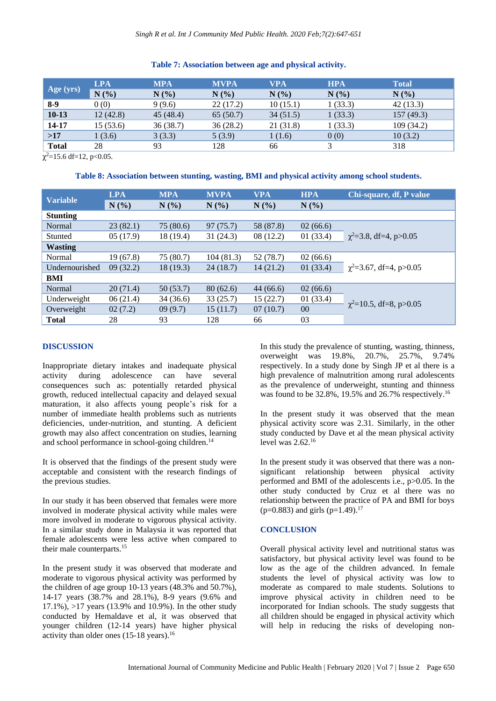#### **Table 7: Association between age and physical activity.**

| <b>LPA</b> | <b>MPA</b> | <b>MVPA</b> | <b>VPA</b> | <b>HPA</b> | <b>Total</b> |
|------------|------------|-------------|------------|------------|--------------|
| N(%)       | N(%        | N(%)        | N(%)       | N(%)       | N(%)         |
| 0(0)       | 9(9.6)     | 22(17.2)    | 10(15.1)   | 1(33.3)    | 42(13.3)     |
| 12(42.8)   | 45(48.4)   | 65(50.7)    | 34(51.5)   | 1(33.3)    | 157(49.3)    |
| 15(53.6)   | 36(38.7)   | 36(28.2)    | 21(31.8)   | 1(33.3)    | 109(34.2)    |
| 1(3.6)     | 3(3.3)     | 5(3.9)      | 1(1.6)     | 0(0)       | 10(3.2)      |
| 28         | 93         | 128         | 66         |            | 318          |
|            |            |             |            |            |              |

 $\chi^2$ =15.6 df=12, p<0.05.

#### **Table 8: Association between stunting, wasting, BMI and physical activity among school students.**

|                 | <b>LPA</b> | <b>MPA</b> | <b>MVPA</b> | <b>VPA</b> | <b>HPA</b> | Chi-square, df, P value      |
|-----------------|------------|------------|-------------|------------|------------|------------------------------|
| <b>Variable</b> | N(%)       | N(%)       | N(%)        | N(%)       | $N(\%)$    |                              |
| <b>Stunting</b> |            |            |             |            |            |                              |
| Normal          | 23(82.1)   | 75 (80.6)  | 97(75.7)    | 58 (87.8)  | 02(66.6)   |                              |
| Stunted         | 05(17.9)   | 18 (19.4)  | 31(24.3)    | 08(12.2)   | 01(33.4)   | $\chi^2$ =3.8, df=4, p>0.05  |
| <b>Wasting</b>  |            |            |             |            |            |                              |
| Normal          | 19(67.8)   | 75 (80.7)  | 104 (81.3)  | 52 (78.7)  | 02(66.6)   |                              |
| Undernourished  | 09(32.2)   | 18(19.3)   | 24(18.7)    | 14(21.2)   | 01(33.4)   | $\chi^2$ =3.67, df=4, p>0.05 |
| BMI             |            |            |             |            |            |                              |
| Normal          | 20(71.4)   | 50(53.7)   | 80(62.6)    | 44(66.6)   | 02(66.6)   |                              |
| Underweight     | 06(21.4)   | 34 (36.6)  | 33(25.7)    | 15(22.7)   | 01(33.4)   | $\chi^2$ =10.5, df=8, p>0.05 |
| Overweight      | 02(7.2)    | 09(9.7)    | 15(11.7)    | 07(10.7)   | $00\,$     |                              |
| <b>Total</b>    | 28         | 93         | 128         | 66         | 03         |                              |

#### **DISCUSSION**

Inappropriate dietary intakes and inadequate physical activity during adolescence can have several consequences such as: potentially retarded physical growth, reduced intellectual capacity and delayed sexual maturation, it also affects young people's risk for a number of immediate health problems such as nutrients deficiencies, under-nutrition, and stunting. A deficient growth may also affect concentration on studies, learning and school performance in school-going children.<sup>14</sup>

It is observed that the findings of the present study were acceptable and consistent with the research findings of the previous studies.

In our study it has been observed that females were more involved in moderate physical activity while males were more involved in moderate to vigorous physical activity. In a similar study done in Malaysia it was reported that female adolescents were less active when compared to their male counterparts.<sup>15</sup>

In the present study it was observed that moderate and moderate to vigorous physical activity was performed by the children of age group 10-13 years (48.3% and 50.7%), 14-17 years (38.7% and 28.1%), 8-9 years (9.6% and  $17.1\%$ ),  $>17$  years (13.9% and 10.9%). In the other study conducted by Hemaldave et al, it was observed that younger children (12-14 years) have higher physical activity than older ones  $(15-18 \text{ years})$ .<sup>16</sup>

In this study the prevalence of stunting, wasting, thinness, overweight was 19.8%, 20.7%, 25.7%, 9.74% respectively. In a study done by Singh JP et al there is a high prevalence of malnutrition among rural adolescents as the prevalence of underweight, stunting and thinness was found to be 32.8%, 19.5% and 26.7% respectively.<sup>16</sup>

In the present study it was observed that the mean physical activity score was 2.31. Similarly, in the other study conducted by Dave et al the mean physical activity level was  $2.62^{16}$ 

In the present study it was observed that there was a nonsignificant relationship between physical activity performed and BMI of the adolescents i.e., p>0.05. In the other study conducted by Cruz et al there was no relationship between the practice of PA and BMI for boys (p=0.883) and girls (p=1.49).<sup>17</sup>

#### **CONCLUSION**

Overall physical activity level and nutritional status was satisfactory, but physical activity level was found to be low as the age of the children advanced. In female students the level of physical activity was low to moderate as compared to male students. Solutions to improve physical activity in children need to be incorporated for Indian schools. The study suggests that all children should be engaged in physical activity which will help in reducing the risks of developing non